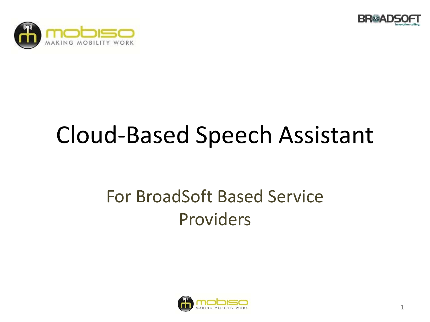



# Cloud-Based Speech Assistant

### For BroadSoft Based Service Providers

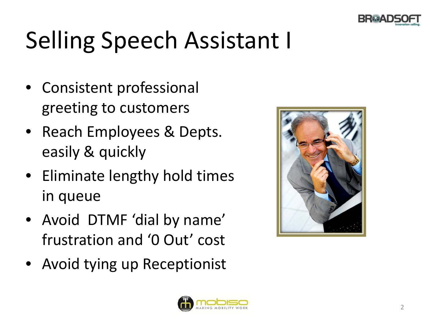

# Selling Speech Assistant I

- Consistent professional greeting to customers
- Reach Employees & Depts. easily & quickly
- Eliminate lengthy hold times in queue
- Avoid DTMF 'dial by name' frustration and '0 Out' cost
- Avoid tying up Receptionist



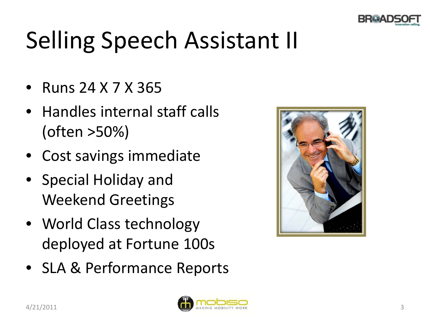

# Selling Speech Assistant II

- Runs 24 X 7 X 365
- Handles internal staff calls (often >50%)
- Cost savings immediate
- Special Holiday and Weekend Greetings
- World Class technology deployed at Fortune 100s
- SLA & Performance Reports



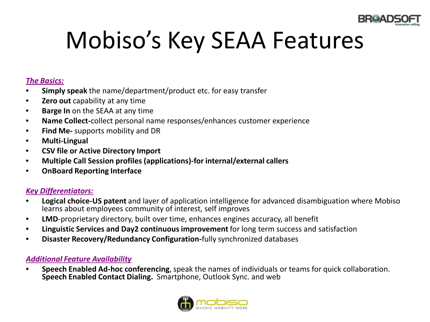

# Mobiso's Key SEAA Features

#### *The Basics:*

- **Simply speak** the name/department/product etc. for easy transfer
- **Zero out** capability at any time
- **Barge In** on the SEAA at any time
- **Name Collect-**collect personal name responses/enhances customer experience
- **Find Me-** supports mobility and DR
- **Multi-Lingual**
- **CSV file or Active Directory Import**
- **Multiple Call Session profiles (applications)-for internal/external callers**
- **OnBoard Reporting Interface**

#### *Key Differentiators:*

- **Logical choice-US patent** and layer of application intelligence for advanced disambiguation where Mobiso learns about employees community of interest, self improves
- **LMD**-proprietary directory, built over time, enhances engines accuracy, all benefit
- **Linguistic Services and Day2 continuous improvement** for long term success and satisfaction
- **Disaster Recovery/Redundancy Configuration-**fully synchronized databases

#### *Additional Feature Availability*

• **Speech Enabled Ad-hoc conferencing**, speak the names of individuals or teams for quick collaboration. **Speech Enabled Contact Dialing.** Smartphone, Outlook Sync. and web

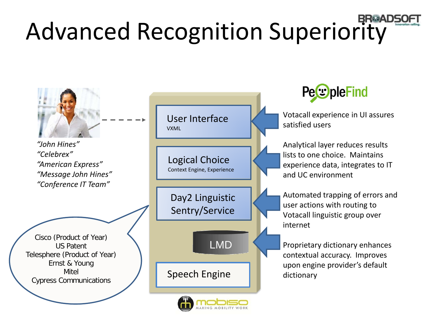# **Advanced Recognition Superiority**

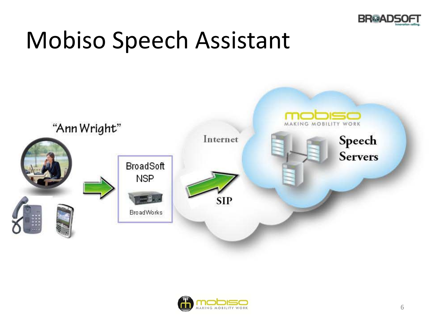

## Mobiso Speech Assistant



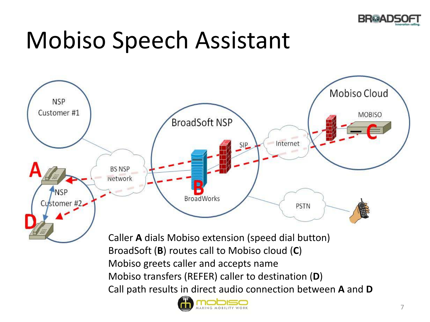

## Mobiso Speech Assistant



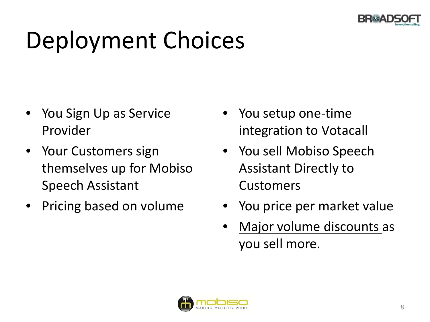

# Deployment Choices

- You Sign Up as Service Provider
- Your Customers sign themselves up for Mobiso Speech Assistant
- Pricing based on volume
- You setup one-time integration to Votacall
- You sell Mobiso Speech Assistant Directly to Customers
- You price per market value
- Major volume discounts as you sell more.

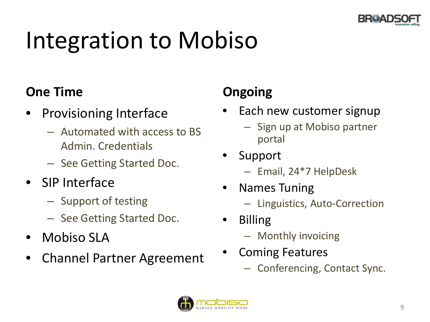

# Integration to Mobiso

### **One Time**

- Provisioning Interface
	- Automated with access to BS Admin. Credentials
	- See Getting Started Doc.
- SIP Interface
	- Support of testing
	- See Getting Started Doc.
- Mobiso SLA
- Channel Partner Agreement

### **Ongoing**

- Each new customer signup
	- Sign up at Mobiso partner portal
- **Support** 
	- Email, 24\*7 HelpDesk
- Names Tuning
	- Linguistics, Auto-Correction
- Billing
	- Monthly invoicing
- Coming Features
	- Conferencing, Contact Sync.

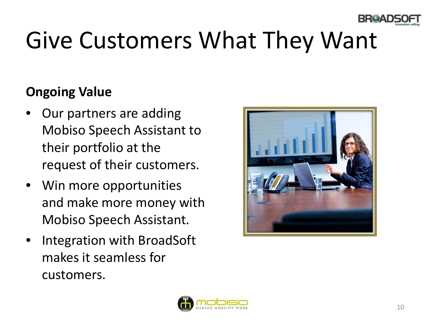

# Give Customers What They Want

### **Ongoing Value**

- Our partners are adding Mobiso Speech Assistant to their portfolio at the request of their customers.
- Win more opportunities and make more money with Mobiso Speech Assistant.
- Integration with BroadSoft makes it seamless for customers.